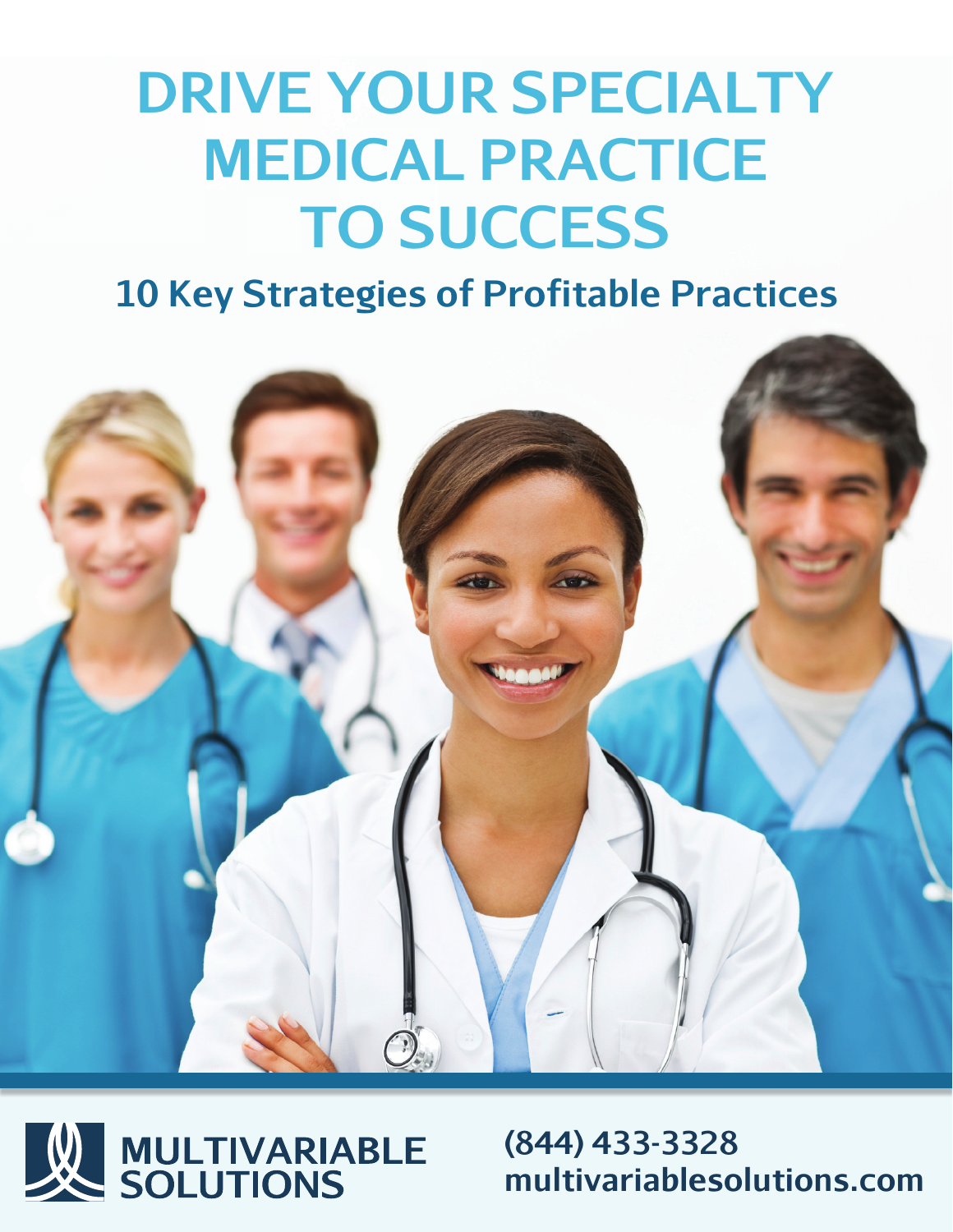# **DRIVE YOUR SPECIALTY MEDICAL PRACTICE TO SUCCESS**

**10 Key Strategies of Profitable Practices**





**(844) 433-3328 multivariablesolutions.com**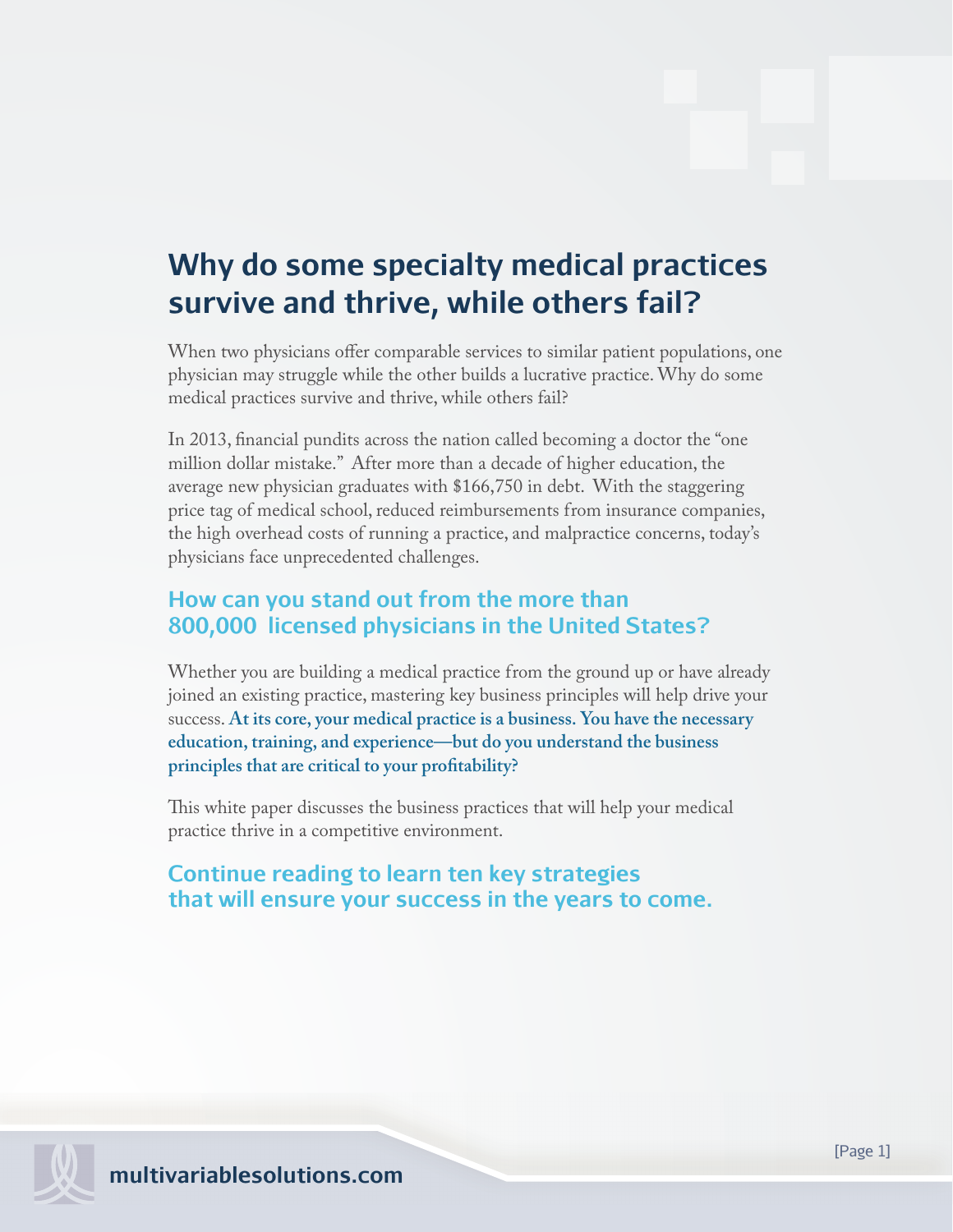## **Why do some specialty medical practices survive and thrive, while others fail?**

When two physicians offer comparable services to similar patient populations, one physician may struggle while the other builds a lucrative practice. Why do some medical practices survive and thrive, while others fail?

In 2013, financial pundits across the nation called becoming a doctor the "one" million dollar mistake." After more than a decade of higher education, the average new physician graduates with \$166,750 in debt. With the staggering price tag of medical school, reduced reimbursements from insurance companies, the high overhead costs of running a practice, and malpractice concerns, today's physicians face unprecedented challenges.

## **How can you stand out from the more than 800,000 licensed physicians in the United States?**

Whether you are building a medical practice from the ground up or have already joined an existing practice, mastering key business principles will help drive your success. **At its core, your medical practice is a business. You have the necessary education, training, and experience—but do you understand the business**  principles that are critical to your profitability?

This white paper discusses the business practices that will help your medical practice thrive in a competitive environment.

## **Continue reading to learn ten key strategies that will ensure your success in the years to come.**

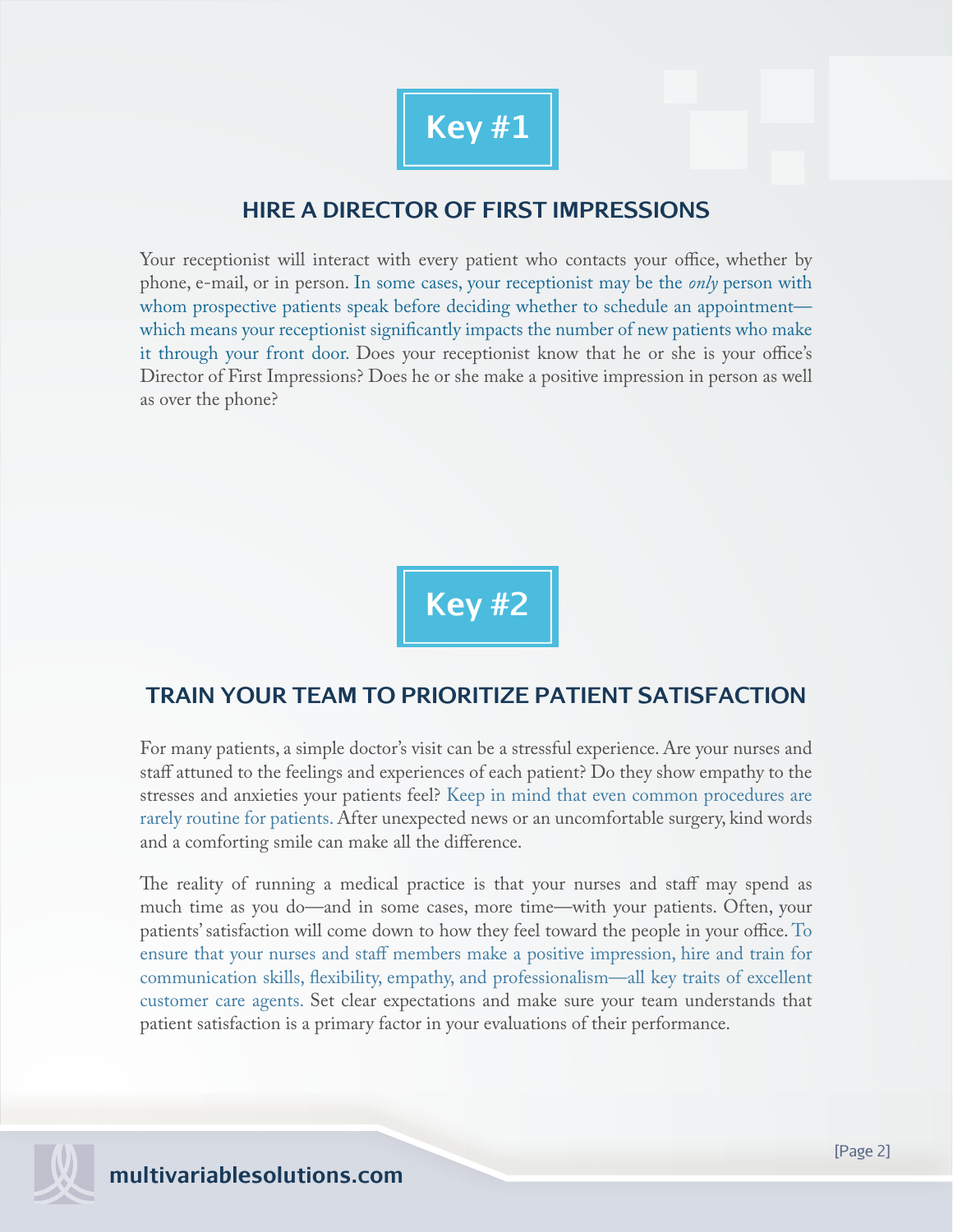

## **HIRE A DIRECTOR OF FIRST IMPRESSIONS**

Your receptionist will interact with every patient who contacts your office, whether by phone, e-mail, or in person. In some cases, your receptionist may be the *only* person with whom prospective patients speak before deciding whether to schedule an appointment which means your receptionist significantly impacts the number of new patients who make it through your front door. Does your receptionist know that he or she is your office's Director of First Impressions? Does he or she make a positive impression in person as well as over the phone?

**Key #2**

## **TRAIN YOUR TEAM TO PRIORITIZE PATIENT SATISFACTION**

For many patients, a simple doctor's visit can be a stressful experience. Are your nurses and staff attuned to the feelings and experiences of each patient? Do they show empathy to the stresses and anxieties your patients feel? Keep in mind that even common procedures are rarely routine for patients. After unexpected news or an uncomfortable surgery, kind words and a comforting smile can make all the difference.

The reality of running a medical practice is that your nurses and staff may spend as much time as you do—and in some cases, more time—with your patients. Often, your patients' satisfaction will come down to how they feel toward the people in your office. To ensure that your nurses and staff members make a positive impression, hire and train for communication skills, flexibility, empathy, and professionalism—all key traits of excellent customer care agents. Set clear expectations and make sure your team understands that patient satisfaction is a primary factor in your evaluations of their performance.

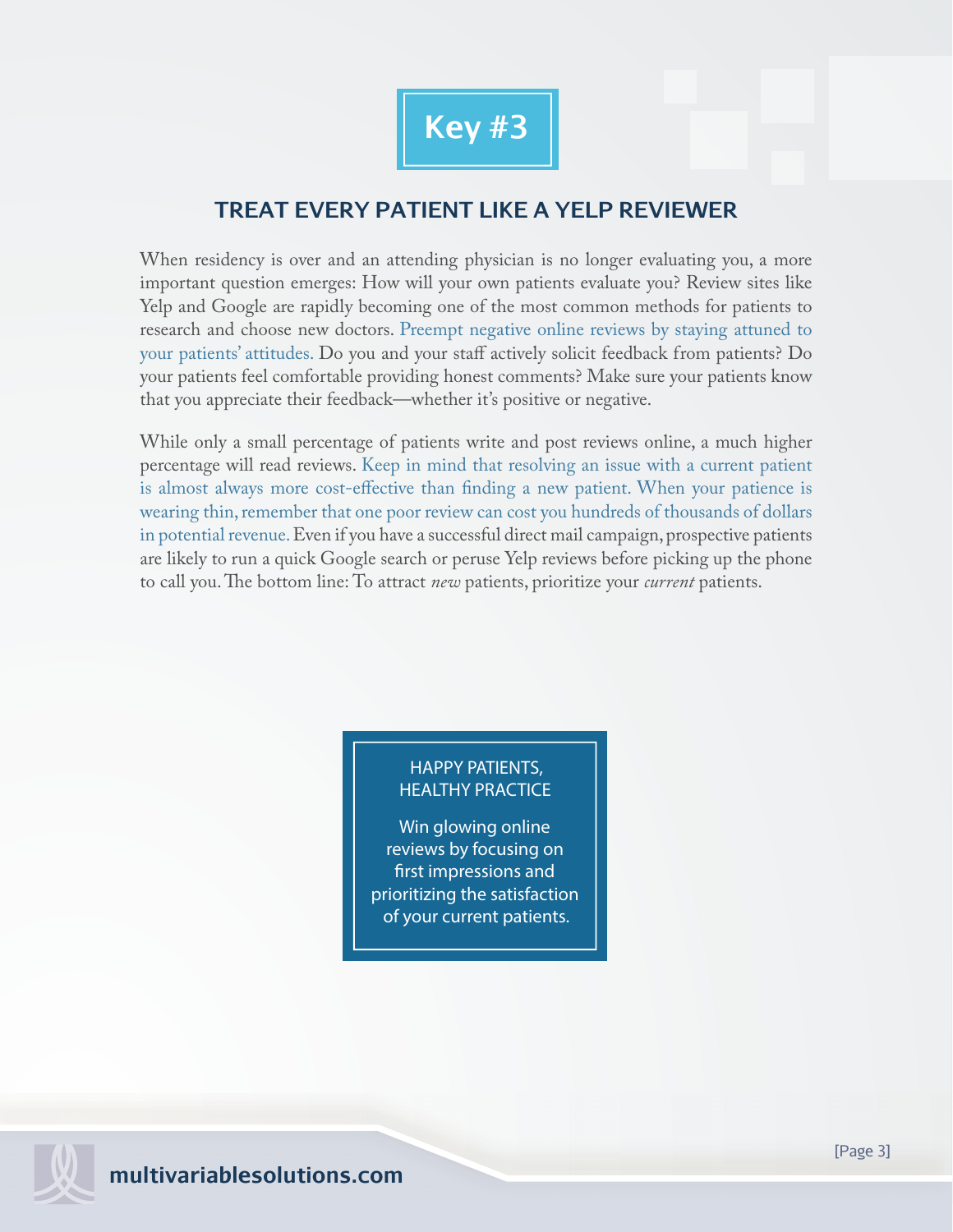

## **TREAT EVERY PATIENT LIKE A YELP REVIEWER**

When residency is over and an attending physician is no longer evaluating you, a more important question emerges: How will your own patients evaluate you? Review sites like Yelp and Google are rapidly becoming one of the most common methods for patients to research and choose new doctors. Preempt negative online reviews by staying attuned to your patients' attitudes. Do you and your staff actively solicit feedback from patients? Do your patients feel comfortable providing honest comments? Make sure your patients know that you appreciate their feedback—whether it's positive or negative.

While only a small percentage of patients write and post reviews online, a much higher percentage will read reviews. Keep in mind that resolving an issue with a current patient is almost always more cost-effective than finding a new patient. When your patience is wearing thin, remember that one poor review can cost you hundreds of thousands of dollars in potential revenue.Even if you have a successful direct mail campaign, prospective patients are likely to run a quick Google search or peruse Yelp reviews before picking up the phone to call you. The bottom line: To attract *new* patients, prioritize your *current* patients.

#### HAPPY PATIENTS, HEALTHY PRACTICE

Win glowing online reviews by focusing on first impressions and prioritizing the satisfaction of your current patients.

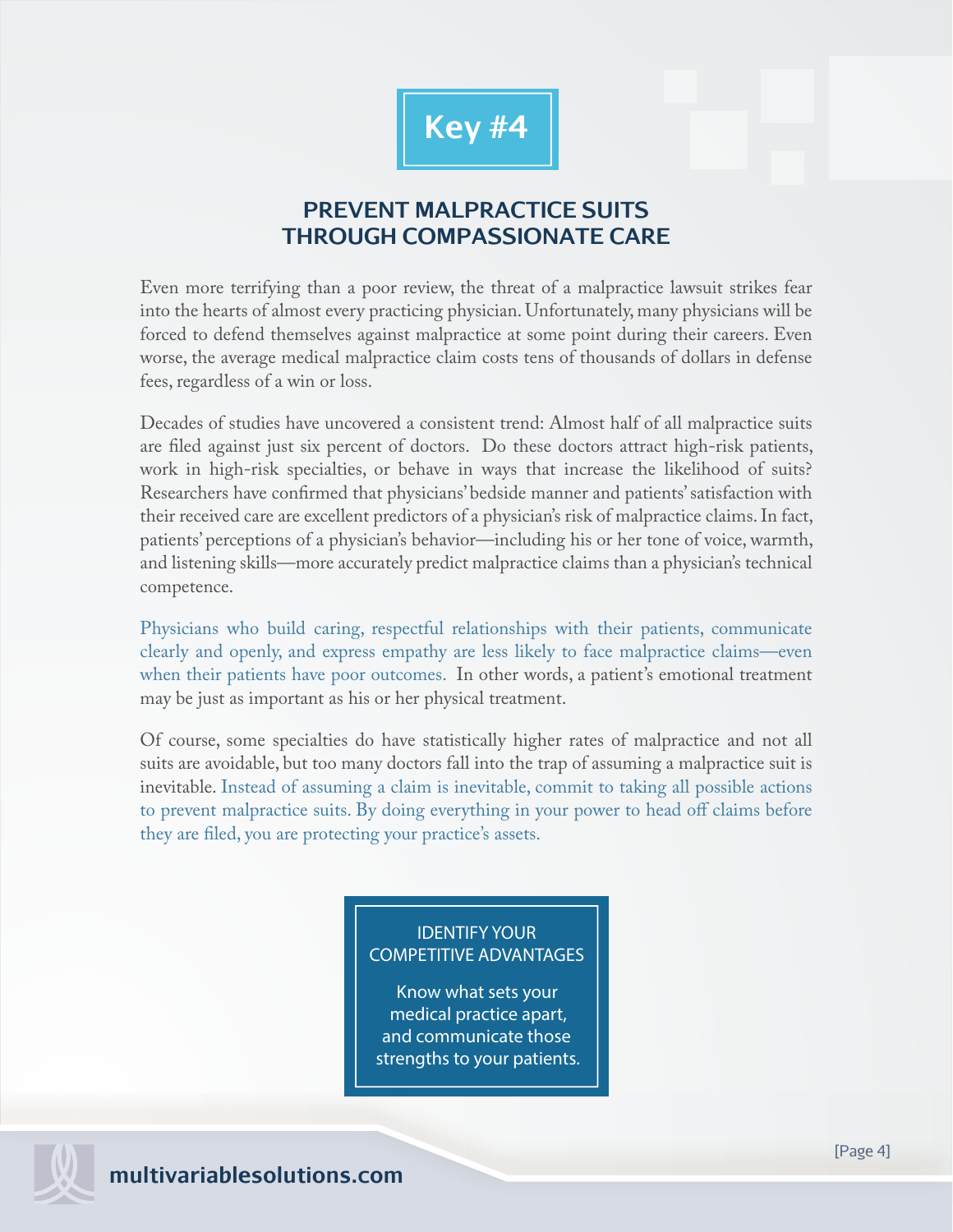

## **PREVENT MALPRACTICE SUITS THROUGH COMPASSIONATE CARE**

Even more terrifying than a poor review, the threat of a malpractice lawsuit strikes fear into the hearts of almost every practicing physician. Unfortunately, many physicians will be forced to defend themselves against malpractice at some point during their careers. Even worse, the average medical malpractice claim costs tens of thousands of dollars in defense fees, regardless of a win or loss.

Decades of studies have uncovered a consistent trend: Almost half of all malpractice suits are filed against just six percent of doctors. Do these doctors attract high-risk patients, work in high-risk specialties, or behave in ways that increase the likelihood of suits? Researchers have confirmed that physicians' bedside manner and patients' satisfaction with their received care are excellent predictors of a physician's risk of malpractice claims. In fact, patients' perceptions of a physician's behavior—including his or her tone of voice, warmth, and listening skills—more accurately predict malpractice claims than a physician's technical competence.

Physicians who build caring, respectful relationships with their patients, communicate clearly and openly, and express empathy are less likely to face malpractice claims—even when their patients have poor outcomes. In other words, a patient's emotional treatment may be just as important as his or her physical treatment.

Of course, some specialties do have statistically higher rates of malpractice and not all suits are avoidable, but too many doctors fall into the trap of assuming a malpractice suit is inevitable. Instead of assuming a claim is inevitable, commit to taking all possible actions to prevent malpractice suits. By doing everything in your power to head off claims before they are filed, you are protecting your practice's assets.

#### IDENTIFY YOUR COMPETITIVE ADVANTAGES

Know what sets your medical practice apart, and communicate those strengths to your patients.

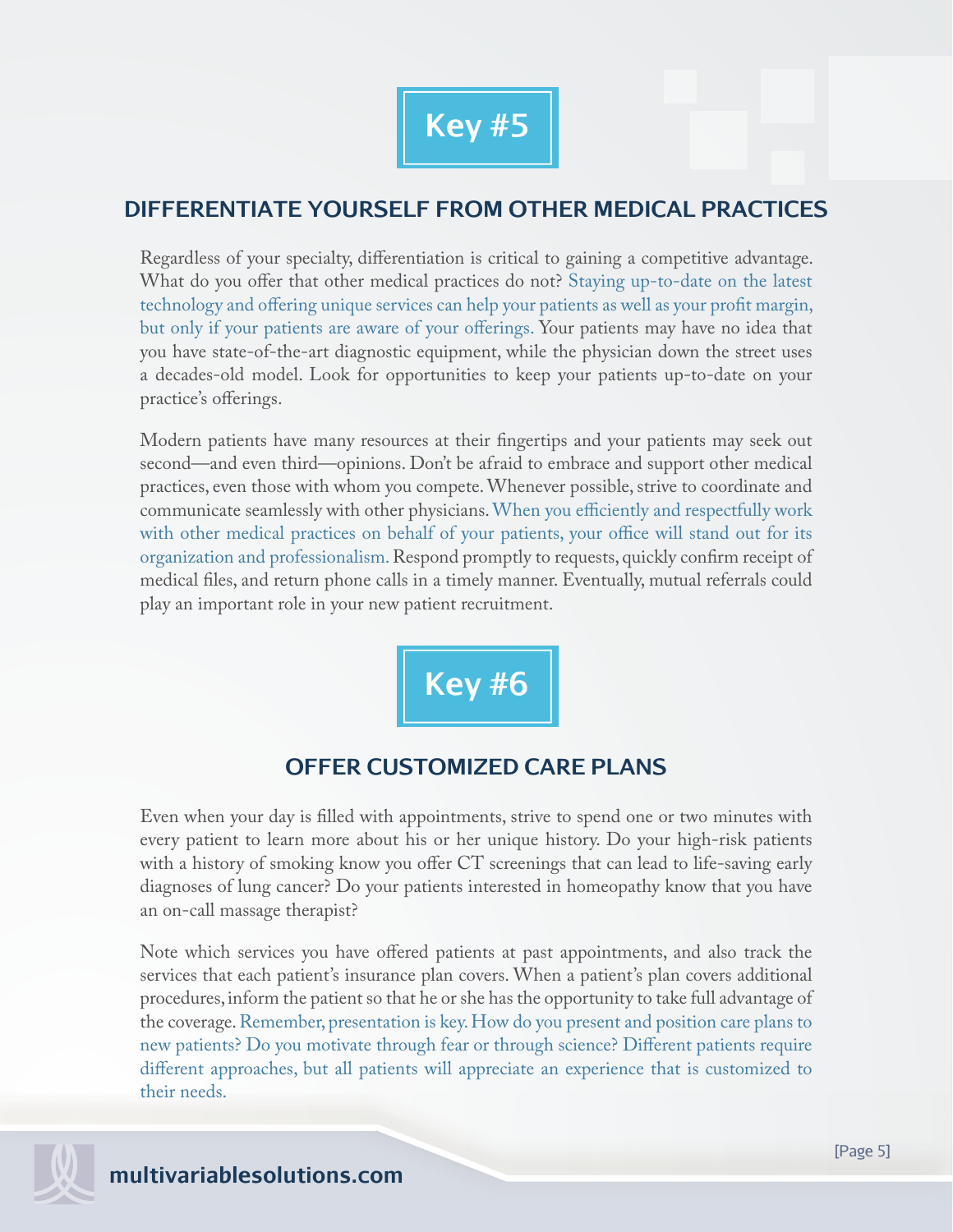

## **DIFFERENTIATE YOURSELF FROM OTHER MEDICAL PRACTICES**

Regardless of your specialty, differentiation is critical to gaining a competitive advantage. What do you offer that other medical practices do not? Staying up-to-date on the latest technology and offering unique services can help your patients as well as your profit margin, but only if your patients are aware of your offerings. Your patients may have no idea that you have state-of-the-art diagnostic equipment, while the physician down the street uses a decades-old model. Look for opportunities to keep your patients up-to-date on your practice's offerings.

Modern patients have many resources at their fingertips and your patients may seek out second—and even third—opinions. Don't be afraid to embrace and support other medical practices, even those with whom you compete. Whenever possible, strive to coordinate and communicate seamlessly with other physicians. When you efficiently and respectfully work with other medical practices on behalf of your patients, your office will stand out for its organization and professionalism. Respond promptly to requests, quickly confirm receipt of medical files, and return phone calls in a timely manner. Eventually, mutual referrals could play an important role in your new patient recruitment.

**Key #6**

## **OFFER CUSTOMIZED CARE PLANS**

Even when your day is filled with appointments, strive to spend one or two minutes with every patient to learn more about his or her unique history. Do your high-risk patients with a history of smoking know you offer CT screenings that can lead to life-saving early diagnoses of lung cancer? Do your patients interested in homeopathy know that you have an on-call massage therapist?

Note which services you have offered patients at past appointments, and also track the services that each patient's insurance plan covers. When a patient's plan covers additional procedures, inform the patient so that he or she has the opportunity to take full advantage of the coverage. Remember, presentation is key. How do you present and position care plans to new patients? Do you motivate through fear or through science? Different patients require different approaches, but all patients will appreciate an experience that is customized to their needs.

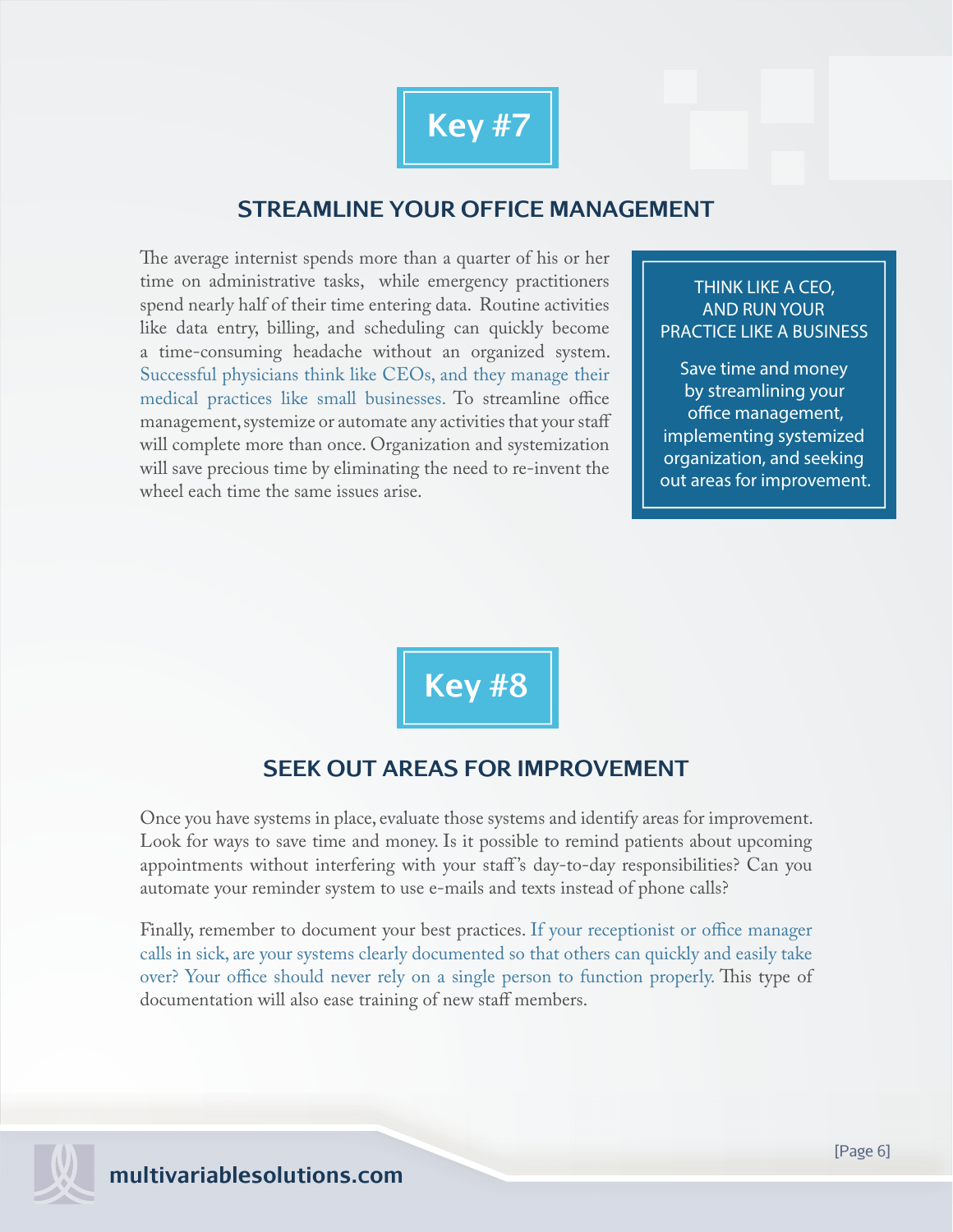

## **STREAMLINE YOUR OFFICE MANAGEMENT**

The average internist spends more than a quarter of his or her time on administrative tasks, while emergency practitioners spend nearly half of their time entering data. Routine activities like data entry, billing, and scheduling can quickly become a time-consuming headache without an organized system. Successful physicians think like CEOs, and they manage their medical practices like small businesses. To streamline office management, systemize or automate any activities that your staff will complete more than once. Organization and systemization will save precious time by eliminating the need to re-invent the wheel each time the same issues arise.

THINK LIKE A CEO, AND RUN YOUR PRACTICE LIKE A BUSINESS

Save time and money by streamlining your office management, implementing systemized organization, and seeking out areas for improvement.

**Key #8**

### **SEEK OUT AREAS FOR IMPROVEMENT**

Once you have systems in place, evaluate those systems and identify areas for improvement. Look for ways to save time and money. Is it possible to remind patients about upcoming appointments without interfering with your staff 's day-to-day responsibilities? Can you automate your reminder system to use e-mails and texts instead of phone calls?

Finally, remember to document your best practices. If your receptionist or office manager calls in sick, are your systems clearly documented so that others can quickly and easily take over? Your office should never rely on a single person to function properly. This type of documentation will also ease training of new staff members.

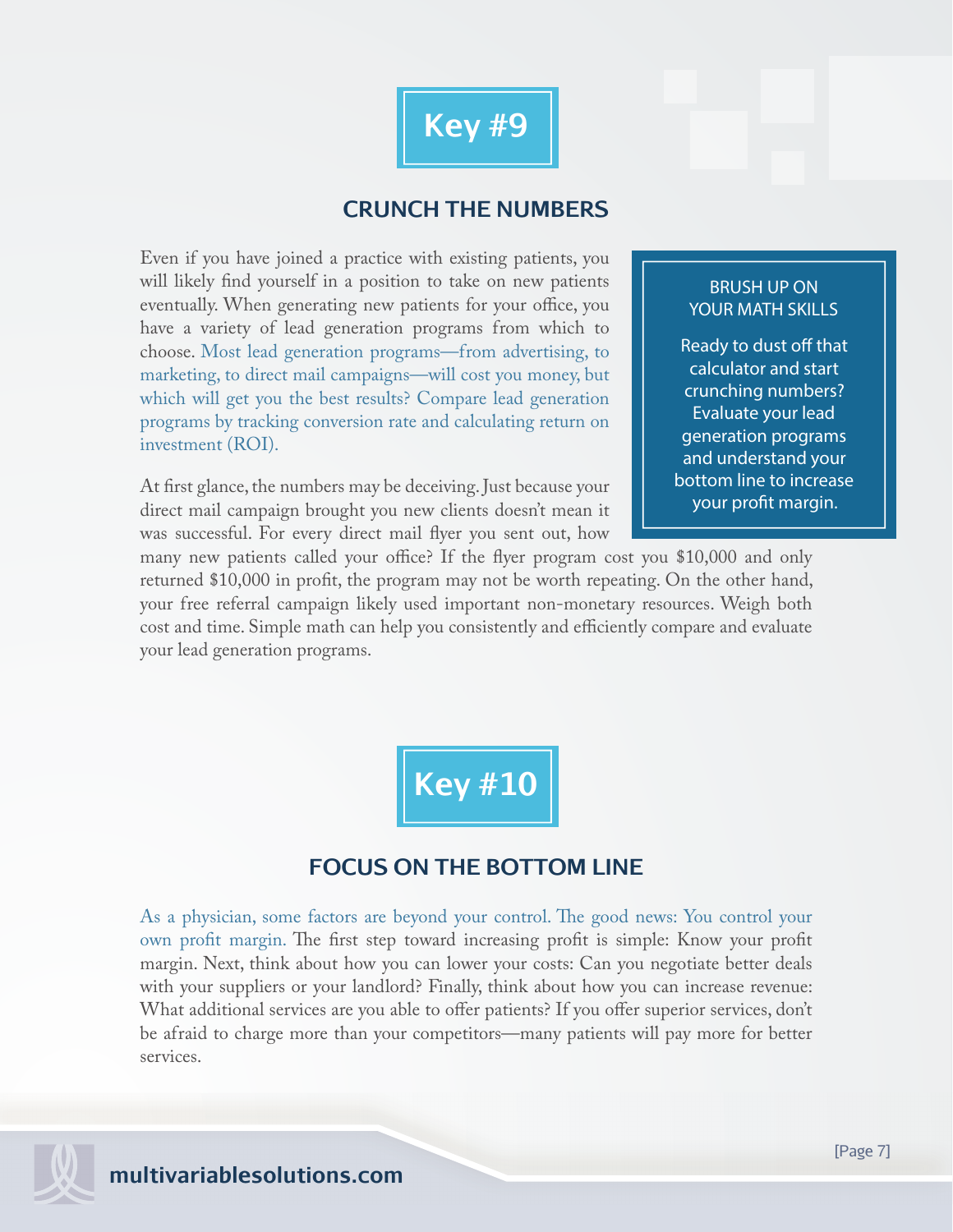

## **CRUNCH THE NUMBERS**

Even if you have joined a practice with existing patients, you will likely find yourself in a position to take on new patients eventually. When generating new patients for your office, you have a variety of lead generation programs from which to choose. Most lead generation programs—from advertising, to marketing, to direct mail campaigns—will cost you money, but which will get you the best results? Compare lead generation programs by tracking conversion rate and calculating return on investment (ROI).

At first glance, the numbers may be deceiving. Just because your direct mail campaign brought you new clients doesn't mean it was successful. For every direct mail flyer you sent out, how

#### BRUSH UP ON YOUR MATH SKILLS

Ready to dust off that calculator and start crunching numbers? Evaluate your lead generation programs and understand your bottom line to increase your profit margin.

many new patients called your office? If the flyer program cost you  $$10,000$  and only returned \$10,000 in profit, the program may not be worth repeating. On the other hand, your free referral campaign likely used important non-monetary resources. Weigh both cost and time. Simple math can help you consistently and efficiently compare and evaluate your lead generation programs.

**Key #10**

## **FOCUS ON THE BOTTOM LINE**

As a physician, some factors are beyond your control. The good news: You control your own profit margin. The first step toward increasing profit is simple: Know your profit margin. Next, think about how you can lower your costs: Can you negotiate better deals with your suppliers or your landlord? Finally, think about how you can increase revenue: What additional services are you able to offer patients? If you offer superior services, don't be afraid to charge more than your competitors—many patients will pay more for better services.

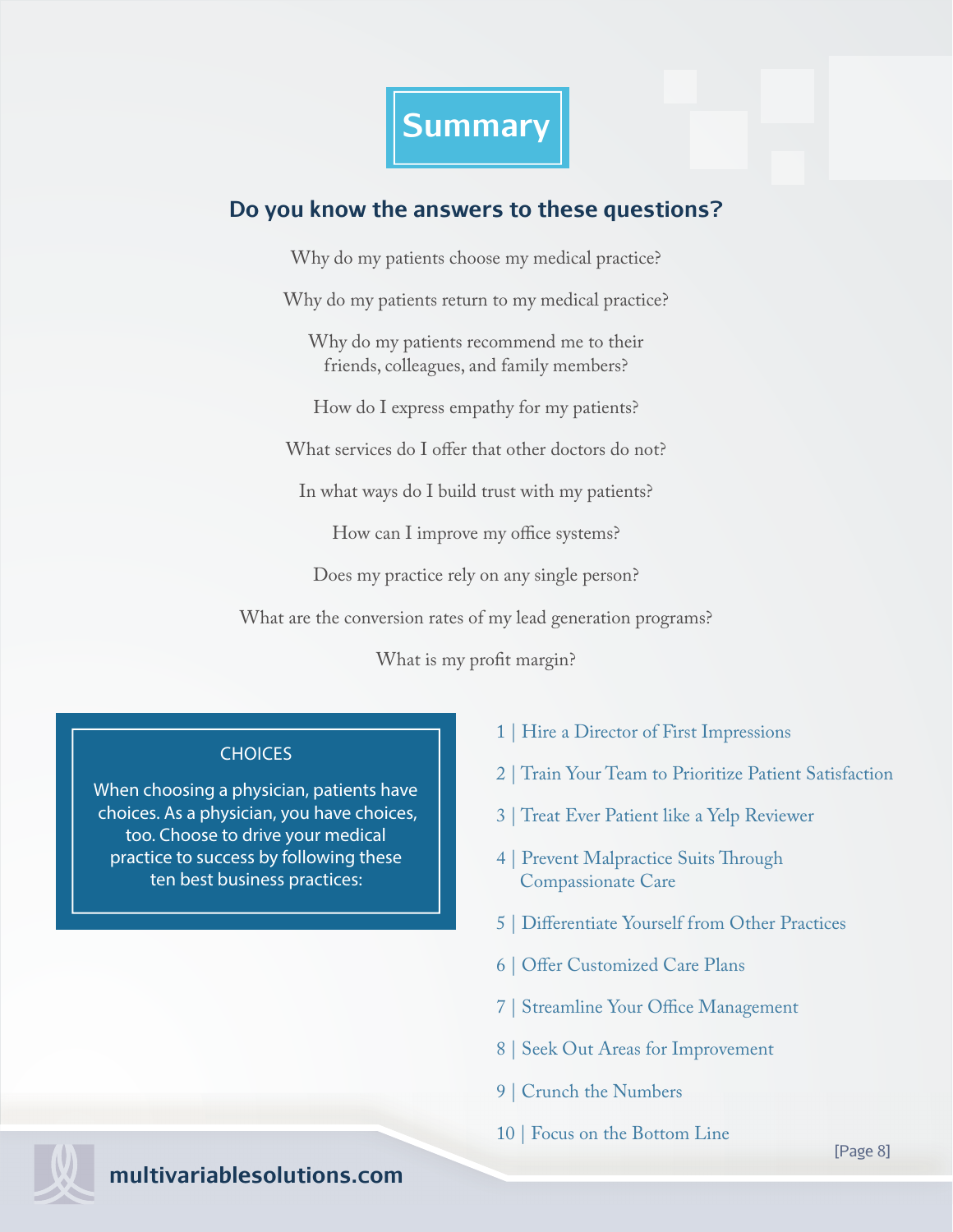

## **Do you know the answers to these questions?**

Why do my patients choose my medical practice?

Why do my patients return to my medical practice?

Why do my patients recommend me to their friends, colleagues, and family members?

How do I express empathy for my patients?

What services do I offer that other doctors do not?

In what ways do I build trust with my patients?

How can I improve my office systems?

Does my practice rely on any single person?

What are the conversion rates of my lead generation programs?

What is my profit margin?

#### **CHOICES**

When choosing a physician, patients have choices. As a physician, you have choices, too. Choose to drive your medical practice to success by following these ten best business practices:

- 1 | Hire a Director of First Impressions
- 2 | Train Your Team to Prioritize Patient Satisfaction
- 3 | Treat Ever Patient like a Yelp Reviewer
- 4 | Prevent Malpractice Suits Through Compassionate Care
- 5 | Differentiate Yourself from Other Practices
- 6 | Offer Customized Care Plans
- 7 | Streamline Your Office Management
- 8 | Seek Out Areas for Improvement
- 9 | Crunch the Numbers
- 10 | Focus on the Bottom Line

**m multivariablesolutions.com**

[Page 8]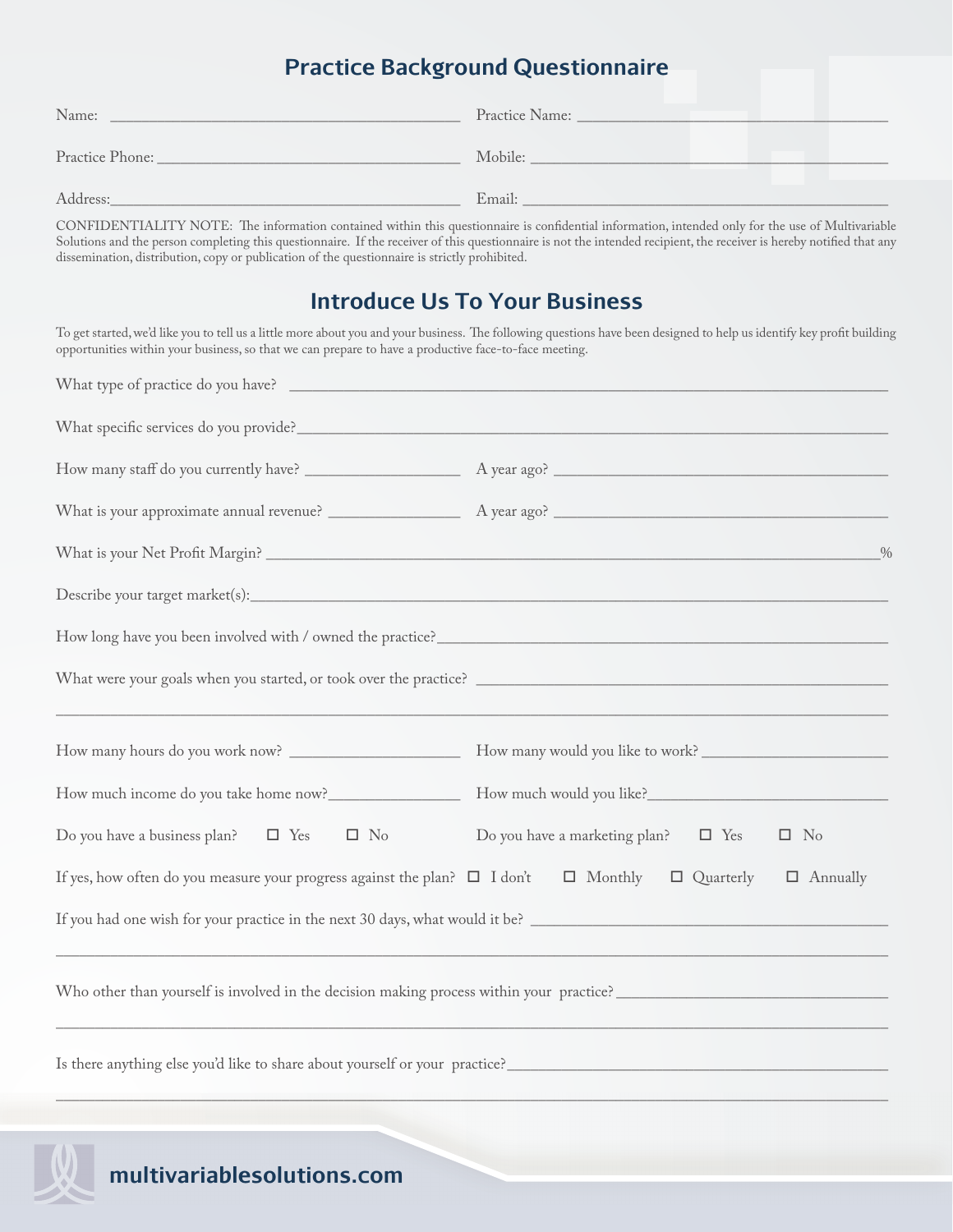## **Practice Background Questionnaire**

| Name:           | Practice Name: |
|-----------------|----------------|
| Practice Phone: | Mobile:        |
| Address:        | Email:         |

CONFIDENTIALITY NOTE: The information contained within this questionnaire is confidential information, intended only for the use of Multivariable Solutions and the person completing this questionnaire. If the receiver of this questionnaire is not the intended recipient, the receiver is hereby notified that any dissemination, distribution, copy or publication of the questionnaire is strictly prohibited.

## **Introduce Us To Your Business**

To get started, we'd like you to tell us a little more about you and your business. The following questions have been designed to help us identify key profit building opportunities within your business, so that we can prepare to have a productive face-to-face meeting.

|                                                                                                                 | $\frac{0}{6}$                                                                            |
|-----------------------------------------------------------------------------------------------------------------|------------------------------------------------------------------------------------------|
|                                                                                                                 |                                                                                          |
|                                                                                                                 |                                                                                          |
|                                                                                                                 |                                                                                          |
|                                                                                                                 |                                                                                          |
|                                                                                                                 | How much would you like?                                                                 |
| Do you have a business plan? $\Box$ Yes $\Box$ No                                                               | Do you have a marketing plan? $\Box$ Yes<br>$\square$ No                                 |
| If yes, how often do you measure your progress against the plan? $\Box$ I don't $\Box$ Monthly $\Box$ Quarterly | $\Box$ Annually                                                                          |
|                                                                                                                 | If you had one wish for your practice in the next 30 days, what would it be?             |
|                                                                                                                 | Who other than yourself is involved in the decision making process within your practice? |
| Is there anything else you'd like to share about yourself or your practice?                                     |                                                                                          |
|                                                                                                                 |                                                                                          |

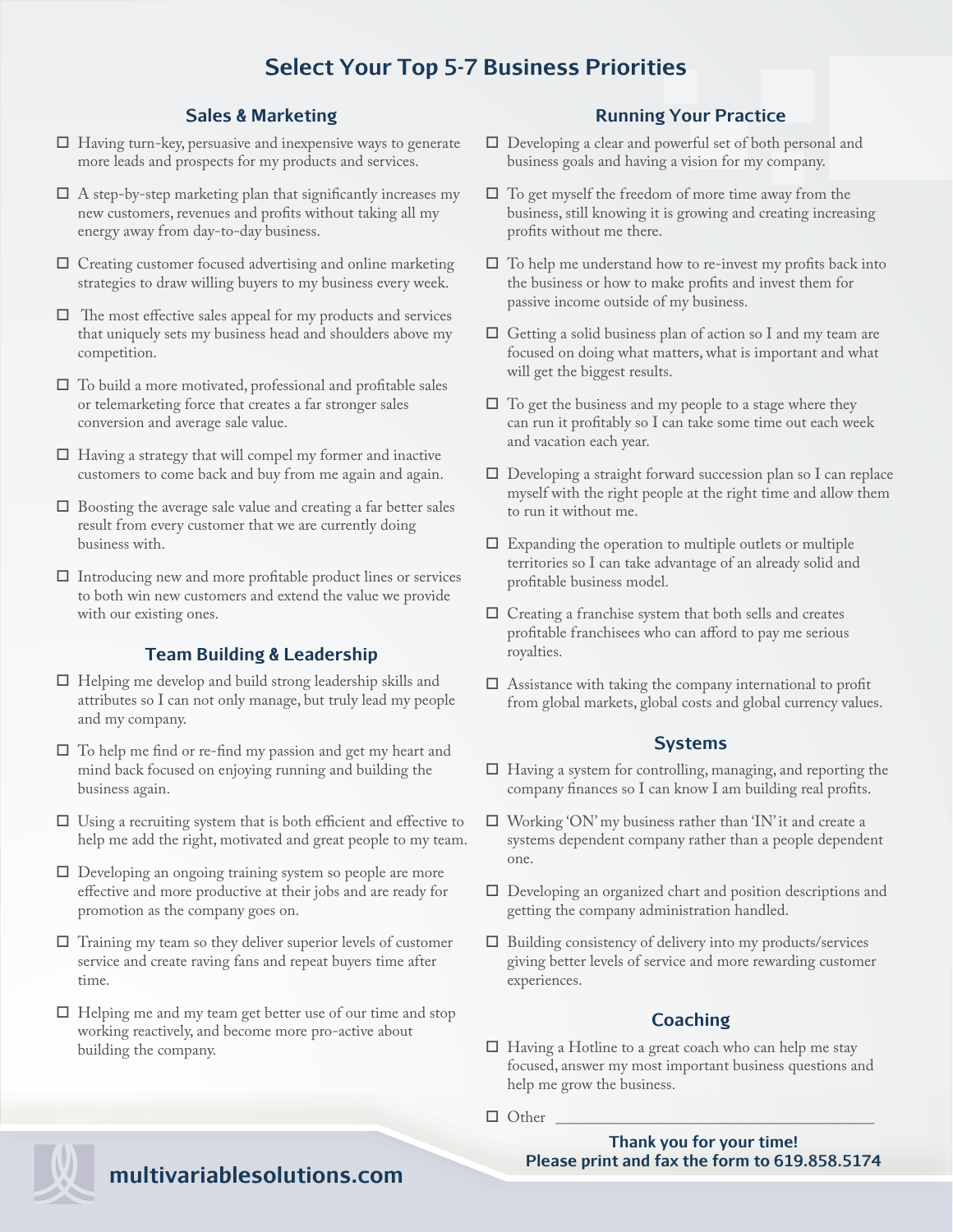## **Select Your Top 5-7 Business Priorities**

#### **Sales & Marketing**

- $\Box$  Having turn-key, persuasive and inexpensive ways to generate more leads and prospects for my products and services.
- $\Box$  A step-by-step marketing plan that significantly increases my new customers, revenues and profits without taking all my energy away from day-to-day business.
- $\Box$  Creating customer focused advertising and online marketing strategies to draw willing buyers to my business every week.
- $\Box$  The most effective sales appeal for my products and services that uniquely sets my business head and shoulders above my competition.
- $\Box$  To build a more motivated, professional and profitable sales or telemarketing force that creates a far stronger sales conversion and average sale value.
- $\Box$  Having a strategy that will compel my former and inactive customers to come back and buy from me again and again.
- $\Box$  Boosting the average sale value and creating a far better sales result from every customer that we are currently doing business with.
- $\Box$  Introducing new and more profitable product lines or services to both win new customers and extend the value we provide with our existing ones.

#### **Team Building & Leadership**

- $\Box$  Helping me develop and build strong leadership skills and attributes so I can not only manage, but truly lead my people and my company.
- $\square$  To help me find or re-find my passion and get my heart and mind back focused on enjoying running and building the business again.
- $\Box$  Using a recruiting system that is both efficient and effective to help me add the right, motivated and great people to my team.
- $\Box$  Developing an ongoing training system so people are more effective and more productive at their jobs and are ready for promotion as the company goes on.
- $\Box$  Training my team so they deliver superior levels of customer service and create raving fans and repeat buyers time after time.
- $\Box$  Helping me and my team get better use of our time and stop working reactively, and become more pro-active about building the company.

#### **Running Your Practice**

- $\Box$  Developing a clear and powerful set of both personal and business goals and having a vision for my company.
- $\Box$  To get myself the freedom of more time away from the business, still knowing it is growing and creating increasing profits without me there.
- $\Box$  To help me understand how to re-invest my profits back into the business or how to make profits and invest them for passive income outside of my business.
- $\Box$  Getting a solid business plan of action so I and my team are focused on doing what matters, what is important and what will get the biggest results.
- $\Box$  To get the business and my people to a stage where they can run it profitably so I can take some time out each week and vacation each year.
- $\Box$  Developing a straight forward succession plan so I can replace myself with the right people at the right time and allow them to run it without me.
- $\Box$  Expanding the operation to multiple outlets or multiple territories so I can take advantage of an already solid and profitable business model.
- $\Box$  Creating a franchise system that both sells and creates profitable franchisees who can afford to pay me serious royalties.
- $\Box$  Assistance with taking the company international to profit from global markets, global costs and global currency values.

#### **Systems**

- $\Box$  Having a system for controlling, managing, and reporting the company finances so I can know I am building real profits.
- $\Box$  Working 'ON' my business rather than 'IN' it and create a systems dependent company rather than a people dependent one.
- $\Box$  Developing an organized chart and position descriptions and getting the company administration handled.
- $\Box$  Building consistency of delivery into my products/services giving better levels of service and more rewarding customer experiences.

#### **Coaching**

- $\Box$  Having a Hotline to a great coach who can help me stay focused, answer my most important business questions and help me grow the business.
- $\Box$  Other

**Thank you for your time! Please print and fax the form to 619.858.5174**



## **m multivariablesolutions.com**